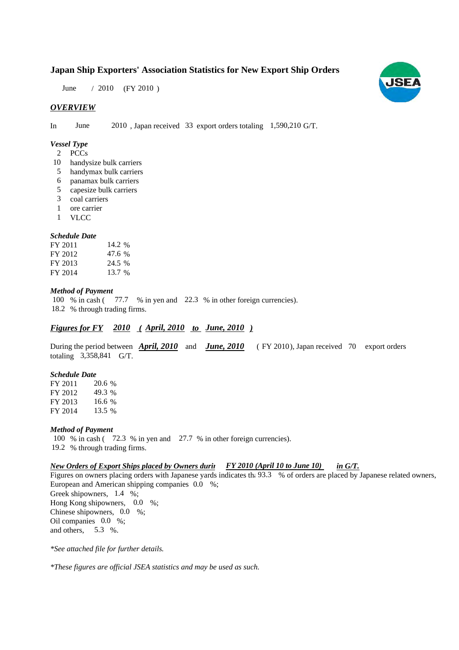# **Japan Ship Exporters' Association Statistics for New Export Ship Orders**

June / 2010 (FY 2010)

### *OVERVIEW*

In June 2010, Japan received 33 export orders totaling 1,590,210 G/T.

#### *Vessel Type*

- PCCs 2
- 10 handysize bulk carriers
- handymax bulk carriers 5
- panamax bulk carriers 6
- capesize bulk carriers 5
- coal carriers 3
- ore carrier 1
- VLCC 1

#### *Schedule Date*

| FY 2011 | 14.2 % |
|---------|--------|
| FY 2012 | 47.6 % |
| FY 2013 | 24.5 % |
| FY 2014 | 13.7 % |

#### *Method of Payment*

% in cash (77.7 % in yen and 22.3 % in other foreign currencies). % through trading firms. 18.2 100 % in cash (

# *Figures for FY* 2010 (April, 2010 to June, 2010)

During the period between **April, 2010** and **June, 2010** (FY 2010), Japan received 70 export orders totaling 3,358,841 G/T.

#### *Schedule Date*

FY 2011 FY 2012 FY 2013 FY 2014 20.6 % 49.3 % 16.6 13.5 %

#### *Method of Payment*

100 % in cash (72.3 % in yen and 27.7 % in other foreign currencies). % through trading firms. 19.2

#### *New Orders of Export Ships placed by Owners durin in G/T. FY 2010 (April 10 to June 10)*

Figures on owners placing orders with Japanese yards indicates the 93.3 % of orders are placed by Japanese related owners, European and American shipping companies 0.0 %; Greek shipowners,  $1.4\%$ ; Hong Kong shipowners, 0.0 %; Chinese shipowners, 0.0 %;

Oil companies  $0.0\%$ ; and others,  $5.3\%$ .

*\*See attached file for further details.*

*\*These figures are official JSEA statistics and may be used as such.*

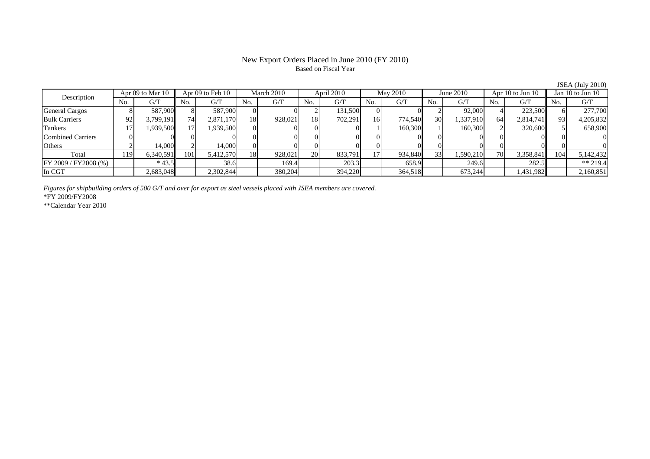## New Export Orders Placed in June 2010 (FY 2010) Based on Fiscal Year

JSEA (July 2010)

| Description           | Apr 09 to Mar 10 |           | Apr 09 to Feb 10 |           | March 2010 |         | April 2010 |         | May 2010 |         | June 2010       |           | Apr $10$ to Jun $10$ |           | Jan $10$ to Jun $10$ |           |
|-----------------------|------------------|-----------|------------------|-----------|------------|---------|------------|---------|----------|---------|-----------------|-----------|----------------------|-----------|----------------------|-----------|
|                       | No.              | G/T       | No.              | G/T       | No.        | G/T     | No.        | G/T     | No.      | G/T     | No.             | G/T       | No.                  | G/T       | No.                  | G/T       |
| <b>General Cargos</b> |                  | 587,900   |                  | 587,900   |            |         |            | 131.500 |          |         |                 | 92,000    |                      | 223,500   |                      | 277,700   |
| <b>Bulk Carriers</b>  | 92               | 3,799,191 | 74               | 2,871,170 | 18         | 928,021 | 18         | 702.291 | 16       | 774,540 | 30 <sup>1</sup> | 1,337,910 | 64                   | 2,814,741 | 93                   | 4,205,832 |
| <b>Tankers</b>        |                  | .939,500  |                  | 1,939,500 |            |         |            |         |          | 160,300 |                 | 160,300   |                      | 320,600L  |                      | 658,900   |
| Combined Carriers     |                  |           |                  |           |            |         |            |         |          |         |                 |           |                      |           |                      |           |
| Others                |                  | 14.000    |                  | 14.000    |            |         |            |         |          |         |                 |           |                      |           |                      |           |
| Total                 | 119              | 6,340,591 | 101              | 5,412,570 | 18         | 928,021 | <b>20</b>  | 833,791 |          | 934,840 | 33              | 1,590,210 | 70 <sub>1</sub>      | 3,358,841 | 104                  | 5,142,432 |
| FF 2009 / FY2008 (%)  |                  | $*43.5$   |                  | 38.6      |            | 169.4   |            | 203.3   |          | 658.9   |                 | 249.6     |                      | 282.5     |                      | ** 219.4  |
| In CGT                |                  | 2,683,048 |                  | 2,302,844 |            | 380,204 |            | 394,220 |          | 364,518 |                 | 673,244   |                      | 1,431,982 |                      | 2,160,851 |

*Figures for shipbuilding orders of 500 G/T and over for export as steel vessels placed with JSEA members are covered.*

\*FY 2009/FY2008

\*\*Calendar Year 2010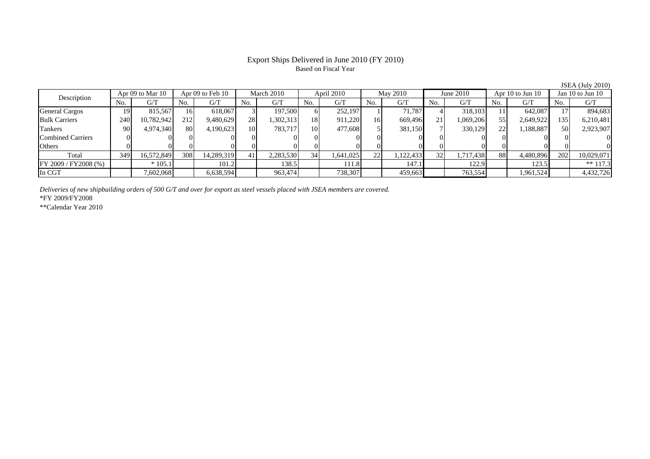## Export Ships Delivered in June 2010 (FY 2010) Based on Fiscal Year

JSEA (July 2010)

| Description              |     | Apr 09 to Mar 10 |     | Apr $09$ to Feb $10$ |     | March 2010 |     | April 2010 |                | May 2010  |     | June $2010$ |     | Apr $10$ to Jun $10$ |      | Jan $10$ to Jun $10$ |  |
|--------------------------|-----|------------------|-----|----------------------|-----|------------|-----|------------|----------------|-----------|-----|-------------|-----|----------------------|------|----------------------|--|
|                          | No. | G/T              | No. | G/T                  | No. | G/T        | No. | G/T        | N <sub>o</sub> | G/T       | No. | G/T         | No. | G/T                  | No.  | G/T                  |  |
| <b>General Cargos</b>    | 19. | 815.567          | 161 | 618,067              |     | 197,500    |     | 252,197    |                | 71.787    |     | 318,103     |     | 642,087              |      | 894,683              |  |
| <b>Bulk Carriers</b>     | 240 | 10,782,942       | 212 | 9,480,629            | 28  | ,302,313   | 18  | 911,220    | 16             | 669,496   | 21  | 1,069,206   | 55  | 2,649,922            | 1351 | 6,210,481            |  |
| Tankers                  | 90  | 4,974,340        | 80  | 4,190,623            | 10  | 783.717    | 10  | 477,608    |                | 381,150   |     | 330,129     | 22  | 1,188,887            | 50I  | 2,923,907            |  |
| <b>Combined Carriers</b> |     |                  |     |                      |     |            |     |            |                |           |     |             |     |                      |      |                      |  |
| Others                   |     |                  |     |                      |     |            |     |            |                |           |     |             |     |                      |      |                      |  |
| Total                    | 349 | 16,572,849       | 308 | 14,289,319           | 41  | 2,283,530  | 34  | 1,641,025  | 22             | 1,122,433 | 32  | 1,717,438   | 88  | 4,480,896            | 202  | 10,029,071           |  |
| FY 2009 / FY 2008 (%)    |     | $*105.1$         |     | 101.2                |     | 138.5      |     | 111.8      |                | 147.1     |     | 122.9       |     | 123.5                |      | $** 117.3$           |  |
| In CGT                   |     | 7,602,068        |     | 6,638,594            |     | 963,474    |     | 738,307    |                | 459,663   |     | 763,554     |     | 1,961,524            |      | 4,432,726            |  |

*Deliveries of new shipbuilding orders of 500 G/T and over for export as steel vessels placed with JSEA members are covered.*

\*FY 2009/FY2008

\*\*Calendar Year 2010